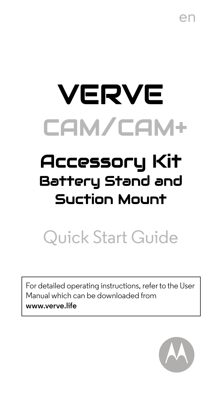en

# VERVE CAM/CAM+

# A**ccessory Kit**<br>Battery Stand and Suction Mount  $\ddot{\phantom{0}}$

# Quick Start Guide

For detailed operating instructions, refer to the User Manual which can be downloaded from **www.verve.life**

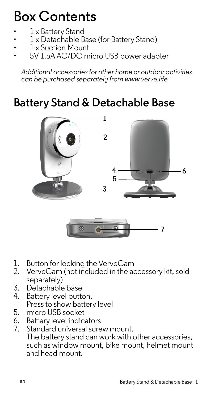# **Box Contents**

- 1 x Battery Stand
- 1 x Detachable Base (for Battery Stand)
- 1 x Suction Mount
- 5V 1.5A AC/DC micro USB power adapter

*Additional accessories for other home or outdoor activities can be purchased separately from www.verve.life*

## **Battery Stand & Detachable Base**



- 1. Button for locking the VerveCam<br>2. VerveCam (not included in the ad
- 2. VerveCam (not included in the accessory kit, sold separately)
- 3. Detachable base<br>4. Battery level butte
- Battery level button. Press to show battery level
- 5. micro USB socket<br>6. Battery level indic
- 6. Battery level indicators<br>7. Standard universal scre
- Standard universal screw mount. The battery stand can work with other accessories, such as window mount, bike mount, helmet mount and head mount.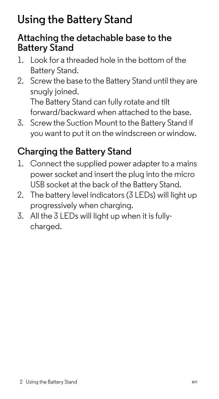# **Using the Battery Stand**

### **Attaching the detachable base to the Battery Stand**

- 1. Look for a threaded hole in the bottom of the Battery Stand.
- 2. Screw the base to the Battery Stand until they are snugly joined.

The Battery Stand can fully rotate and tilt forward/backward when attached to the base.

3. Screw the Suction Mount to the Battery Stand if you want to put it on the windscreen or window.

### **Charging the Battery Stand**

- 1. Connect the supplied power adapter to a mains power socket and insert the plug into the micro USB socket at the back of the Battery Stand.
- 2. The battery level indicators (3 LEDs) will light up progressively when charging.
- 3. All the 3 LEDs will light up when it is fullycharged.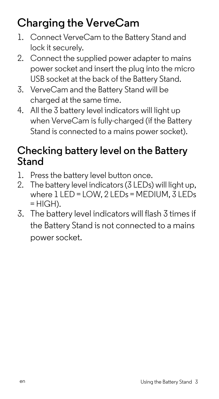# **Charging the VerveCam**

- 1. Connect VerveCam to the Battery Stand and lock it securely.
- 2. Connect the supplied power adapter to mains power socket and insert the plug into the micro USB socket at the back of the Battery Stand.
- 3. VerveCam and the Battery Stand will be charged at the same time.
- 4. All the 3 battery level indicators will light up when VerveCam is fully-charged (if the Battery Stand is connected to a mains power socket).

### **Checking battery level on the Battery Stand**

- 1. Press the battery level button once.
- 2. The battery level indicators (3 LEDs) will light up. where 1 LED = LOW, 2 LEDs = MEDIUM, 3 LEDs  $= HIGH$ ).
- 3. The battery level indicators will flash 3 times if the Battery Stand is not connected to a mains power socket.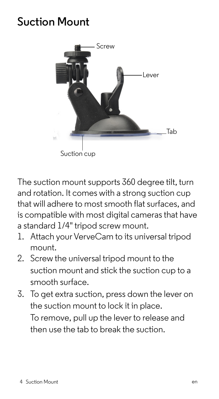### **Suction Mount**



The suction mount supports 360 degree tilt, turn and rotation. It comes with a strong suction cup that will adhere to most smooth flat surfaces, and is compatible with most digital cameras that have a standard 1/4" tripod screw mount.

- 1. Attach your VerveCam to its universal tripod mount.
- 2. Screw the universal tripod mount to the suction mount and stick the suction cup to a smooth surface.
- 3. To get extra suction, press down the lever on the suction mount to lock it in place. To remove, pull up the lever to release and then use the tab to break the suction.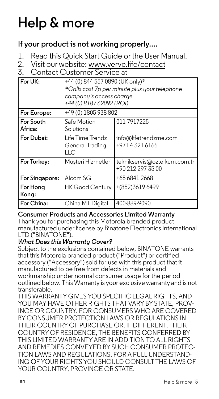# **Help & more**

### **If your product is not working properly....**

- 1. Read this Quick Start Guide or the User Manual.<br>2. Visit our website: www.yerve.life/contact
- 2. Visit our website: www.verve.life/contact

### Contact Customer Service at

| For UK:              | +44 (0) 844 557 0890 (UK only)*<br>*Calls cost 7p per minute plus your telephone<br>company's access charge<br>+44 (0) 8187 62092 (ROI) |                                                   |  |
|----------------------|-----------------------------------------------------------------------------------------------------------------------------------------|---------------------------------------------------|--|
| For Europe:          | +49 (0) 1805 938 802                                                                                                                    |                                                   |  |
| For South<br>Africa: | Safe Motion<br>Solutions                                                                                                                | 011 791 7225                                      |  |
| For Dubai:           | Life Time Trendz<br>General Trading<br>ПC                                                                                               | info@lifetrendzme.com<br>+971 4321 6166           |  |
| For Turkey:          | Müşteri Hizmetleri                                                                                                                      | teknikservis@oztelkum.com.tr<br>+90 212 297 35 00 |  |
| For Singapore:       | Alcom SG                                                                                                                                | +65 6841 2668                                     |  |
| For Hong<br>Kong:    | <b>HK Good Century</b>                                                                                                                  | +(852)3619 6499                                   |  |
| For China:           | China MT Digital                                                                                                                        | 400-889-9090                                      |  |

#### **Consumer Products and Accessories Limited Warranty**

Thank you for purchasing this Motorola branded product manufactured under license by Binatone Electronics International LTD ("BINATONE").

#### *What Does this Warranty Cover?*

Subject to the exclusions contained below, BINATONE warrants that this Motorola branded product ("Product") or certified accessory ("Accessory") sold for use with this product that it manufactured to be free from defects in materials and workmanship under normal consumer usage for the period outlined below. This Warranty is your exclusive warranty and is not transferable.

THIS WARRANTY GIVES YOU SPECIFIC LEGAL RIGHTS, AND YOU MAY HAVE OTHER RIGHTS THAT VARY BY STATE, PROV-INCE OR COUNTRY. FOR CONSUMERS WHO ARE COVERED BY CONSUMER PROTECTION LAWS OR REGULATIONS IN THEIR COUNTRY OF PURCHASE OR, IF DIFFERENT, THEIR COUNTRY OF RESIDENCE, THE BENEFITS CONFERRED BY THIS LIMITED WARRANTY ARE IN ADDITION TO ALL RIGHTS AND REMEDIES CONVEYED BY SUCH CONSUMER PROTEC-TION LAWS AND REGULATIONS. FOR A FULL UNDERSTAND-ING OF YOUR RIGHTS YOU SHOULD CONSULT THE LAWS OF YOUR COUNTRY, PROVINCE OR STATE.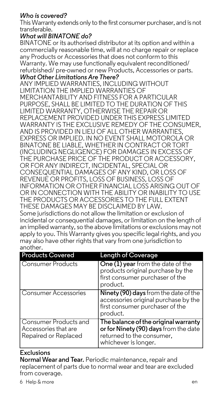#### *Who is covered?*

This Warranty extends only to the first consumer purchaser, and is not transferable.

#### *What will BINATONE do?*

BINATONE or its authorised distributor at its option and within a commercially reasonable time, will at no charge repair or replace any Products or Accessories that does not conform to this Warranty. We may use functionally equivalent reconditioned/ refurbished/ pre-owned or new Products, Accessories or parts. *What Other Limitations Are There?*

ANY IMPLIED WARRANTIES, INCLUDING WITHOUT LIMITATION THE IMPLIED WARRANTIES OF MERCHANTARILITY AND FITNESS FOR A PARTICULAR PURPOSE, SHALL BE LIMITED TO THE DURATION OF THIS LIMITED WARRANTY, OTHERWISE THE REPAIR OR REPLACEMENT PROVIDED UNDER THIS EXPRESS LIMITED WARRANTY IS THE EXCLUSIVE REMEDY OF THE CONSUMER, AND IS PROVIDED IN LIEU OF ALL OTHER WARRANTIES, EXPRESS OR IMPLIED. IN NO EVENT SHALL MOTOROLA OR BINATONE BE LIABLE, WHETHER IN CONTRACT OR TORT (INCLUDING NEGLIGENCE) FOR DAMAGES IN EXCESS OF THE PURCHASE PRICE OF THE PRODUCT OR ACCESSORY, OR FOR ANY INDIRECT, INCIDENTAL, SPECIAL OR CONSEQUENTIAL DAMAGES OF ANY KIND, OR LOSS OF REVENUE OR PROFITS, LOSS OF BUSINESS, LOSS OF INFORMATION OR OTHER FINANCIAL LOSS ARISING OUT OF OR IN CONNECTION WITH THE ABILITY OR INABILITY TO USE THE PRODUCTS OR ACCESSORIES TO THE FULL EXTENT THESE DAMAGES MAY BE DISCLAIMED BY LAW. Some jurisdictions do not allow the limitation or exclusion of incidental or consequential damages, or limitation on the length of an implied warranty, so the above limitations or exclusions may not apply to you. This Warranty gives you specific legal rights, and you may also have other rights that vary from one jurisdiction to another.

| <b>Products Covered</b>                                               | <b>Length of Coverage</b>                                                                                                          |
|-----------------------------------------------------------------------|------------------------------------------------------------------------------------------------------------------------------------|
| Consumer Products                                                     | One (1) year from the date of the<br>products original purchase by the<br>first consumer purchaser of the<br>product.              |
| Consumer Accessories                                                  | Ninety (90) days from the date of the<br>accessories original purchase by the<br>first consumer purchaser of the<br>product.       |
| Consumer Products and<br>Accessories that are<br>Repaired or Replaced | The balance of the original warranty<br>or for Ninety (90) days from the date<br>returned to the consumer,<br>whichever is longer. |

#### **Exclusions**

**Normal Wear and Tear.** Periodic maintenance, repair and replacement of parts due to normal wear and tear are excluded from coverage.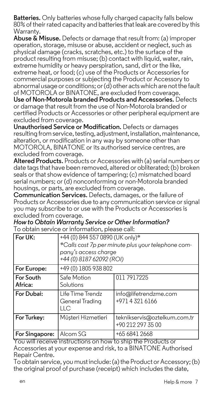**Batteries.** Only batteries whose fully charged capacity falls below 80% of their rated capacity and batteries that leak are covered by this Warranty.

**Abuse & Misuse.** Defects or damage that result from: (a) improper operation, storage, misuse or abuse, accident or neglect, such as physical damage (cracks, scratches, etc.) to the surface of the product resulting from misuse; (b) contact with liquid, water, rain, extreme humidity or heavy perspiration, sand, dirt or the like extreme heat, or food; (c) use of the Products or Accessories for commercial purposes or subjecting the Product or Accessory to abnormal usage or conditions; or (d) other acts which are not the fault of MOTOROLA or BINATONE, are excluded from coverage. **Use of Non-Motorola branded Products and Accessories.** Defects or damage that result from the use of Non-Motorola branded or certified Products or Accessories or other peripheral equipment are excluded from coverage.

**Unauthorised Service or Modification.** Defects or damages resulting from service, testing, adjustment, installation, maintenance, alteration, or modification in any way by someone other than MOTOROLA, BINATONE or its authorised service centres, are excluded from coverage.

**Altered Products.** Products or Accessories with (a) serial numbers or date tags that have been removed, altered or obliterated; (b) broken seals or that show evidence of tampering; (c) mismatched board serial numbers; or (d) nonconforming or non-Motorola branded housings, or parts, are excluded from coverage.

**Communication Services.** Defects, damages, or the failure of Products or Accessories due to any communication service or signal you may subscribe to or use with the Products or Accessories is excluded from coverage.

| How to Obtain Warranty Service or Other Information? |  |
|------------------------------------------------------|--|
|------------------------------------------------------|--|

To obtain service or information, please call:

| For UK:              | +44 (0) 844 557 0890 (UK only)*<br>*Calls cost 7p per minute plus your telephone com-<br>pany's access charge<br>+44 (0) 8187 62092 (ROI) |                                                   |
|----------------------|-------------------------------------------------------------------------------------------------------------------------------------------|---------------------------------------------------|
| For Europe:          | +49 (0) 1805 938 802                                                                                                                      |                                                   |
| For South<br>Africa: | Safe Motion<br>Solutions                                                                                                                  | 011 791 7225                                      |
| For Dubai:           | Life Time Trendz<br>General Trading<br>ПC                                                                                                 | info@lifetrendzme.com<br>+971 4 321 6166          |
| For Turkey:          | Müsteri Hizmetleri                                                                                                                        | teknikservis@oztelkum.com.tr<br>+90 212 297 35 00 |
| For Singapore:       | Alcom SG                                                                                                                                  | +65 6841 2668                                     |

You will receive instructions on how to ship the Products or Accessories at your expense and risk, to a BINATONE Authorised Repair Centre.

To obtain service, you must include: (a) the Product or Accessory; (b) the original proof of purchase (receipt) which includes the date,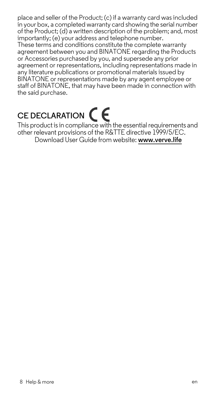place and seller of the Product; (c) if a warranty card was included in your box, a completed warranty card showing the serial number of the Product; (d) a written description of the problem; and, most importantly; (e) your address and telephone number.

These terms and conditions constitute the complete warranty agreement between you and BINATONE regarding the Products or Accessories purchased by you, and supersede any prior agreement or representations, including representations made in any literature publications or promotional materials issued by BINATONE or representations made by any agent employee or staff of BINATONE, that may have been made in connection with the said purchase.

# CE DECLARATION  $\epsilon$

This product is in compliance with the essential requirements and other relevant provisions of the R&TTE directive 1999/5/EC. Download User Guide from website: **www.verve.life**